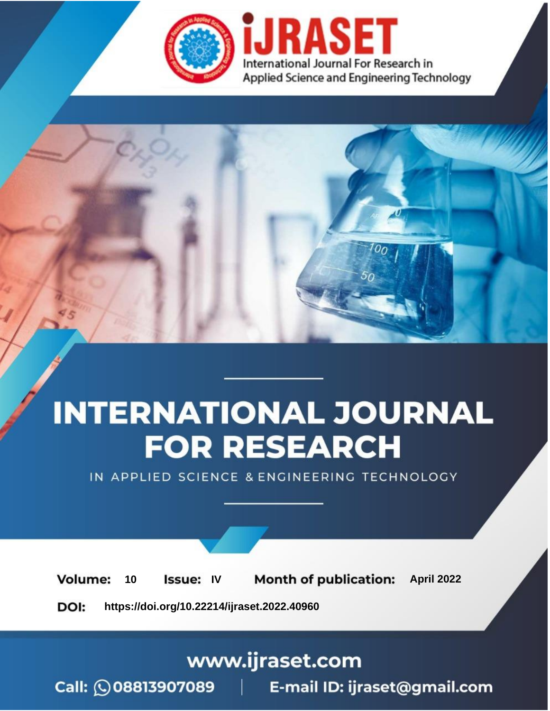

# **INTERNATIONAL JOURNAL FOR RESEARCH**

IN APPLIED SCIENCE & ENGINEERING TECHNOLOGY

10 **Issue: IV Month of publication:** April 2022 **Volume:** 

**https://doi.org/10.22214/ijraset.2022.40960**DOI:

www.ijraset.com

Call: 008813907089 | E-mail ID: ijraset@gmail.com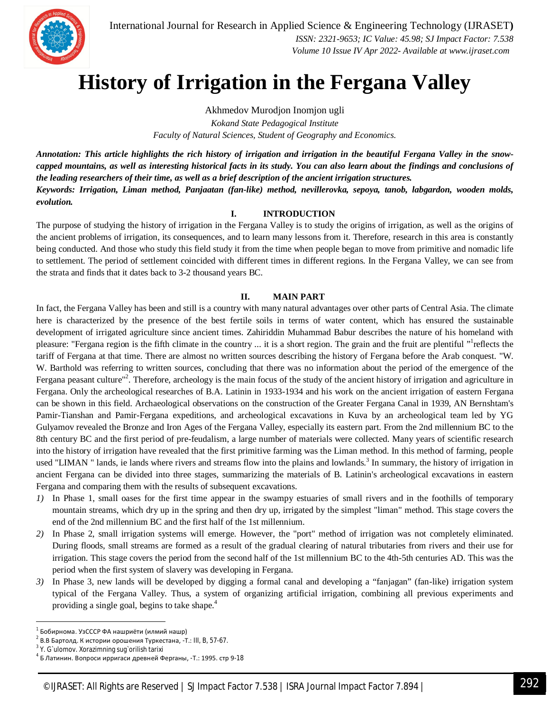

International Journal for Research in Applied Science & Engineering Technology (IJRASET**)**  *ISSN: 2321-9653; IC Value: 45.98; SJ Impact Factor: 7.538*

 *Volume 10 Issue IV Apr 2022- Available at www.ijraset.com*

# **History of Irrigation in the Fergana Valley**

Akhmedov Murodjon Inomjon ugli *Kokand State Pedagogical Institute Faculty of Natural Sciences, Student of Geography and Economics.*

*Annotation: This article highlights the rich history of irrigation and irrigation in the beautiful Fergana Valley in the snowcapped mountains, as well as interesting historical facts in its study. You can also learn about the findings and conclusions of the leading researchers of their time, as well as a brief description of the ancient irrigation structures. Keywords: Irrigation, Liman method, Panjaatan (fan-like) method, nevillerovka, sepoya, tanob, labgardon, wooden molds, evolution.*

#### **I. INTRODUCTION**

The purpose of studying the history of irrigation in the Fergana Valley is to study the origins of irrigation, as well as the origins of the ancient problems of irrigation, its consequences, and to learn many lessons from it. Therefore, research in this area is constantly being conducted. And those who study this field study it from the time when people began to move from primitive and nomadic life to settlement. The period of settlement coincided with different times in different regions. In the Fergana Valley, we can see from the strata and finds that it dates back to 3-2 thousand years BC.

### **II. MAIN PART**

In fact, the Fergana Valley has been and still is a country with many natural advantages over other parts of Central Asia. The climate here is characterized by the presence of the best fertile soils in terms of water content, which has ensured the sustainable development of irrigated agriculture since ancient times. Zahiriddin Muhammad Babur describes the nature of his homeland with pleasure: "Fergana region is the fifth climate in the country ... it is a short region. The grain and the fruit are plentiful "reflects the tariff of Fergana at that time. There are almost no written sources describing the history of Fergana before the Arab conquest. "W. W. Barthold was referring to written sources, concluding that there was no information about the period of the emergence of the Fergana peasant culture"<sup>2</sup>. Therefore, archeology is the main focus of the study of the ancient history of irrigation and agriculture in Fergana. Only the archeological researches of B.A. Latinin in 1933-1934 and his work on the ancient irrigation of eastern Fergana can be shown in this field. Archaeological observations on the construction of the Greater Fergana Canal in 1939, AN Bernshtam's Pamir-Tianshan and Pamir-Fergana expeditions, and archeological excavations in Kuva by an archeological team led by YG Gulyamov revealed the Bronze and Iron Ages of the Fergana Valley, especially its eastern part. From the 2nd millennium BC to the 8th century BC and the first period of pre-feudalism, a large number of materials were collected. Many years of scientific research into the history of irrigation have revealed that the first primitive farming was the Liman method. In this method of farming, people used "LIMAN" lands, ie lands where rivers and streams flow into the plains and lowlands.<sup>3</sup> In summary, the history of irrigation in ancient Fergana can be divided into three stages, summarizing the materials of B. Latinin's archeological excavations in eastern Fergana and comparing them with the results of subsequent excavations.

- *1)* In Phase 1, small oases for the first time appear in the swampy estuaries of small rivers and in the foothills of temporary mountain streams, which dry up in the spring and then dry up, irrigated by the simplest "liman" method. This stage covers the end of the 2nd millennium BC and the first half of the 1st millennium.
- *2)* In Phase 2, small irrigation systems will emerge. However, the "port" method of irrigation was not completely eliminated. During floods, small streams are formed as a result of the gradual clearing of natural tributaries from rivers and their use for irrigation. This stage covers the period from the second half of the 1st millennium BC to the 4th-5th centuries AD. This was the period when the first system of slavery was developing in Fergana.
- *3)* In Phase 3, new lands will be developed by digging a formal canal and developing a "fanjagan" (fan-like) irrigation system typical of the Fergana Valley. Thus, a system of organizing artificial irrigation, combining all previous experiments and providing a single goal, begins to take shape.<sup>4</sup>

**.** 

<sup>1</sup> Бобирнома. УзСССР ФА нашриёти (илмий нашр)

 $^{2}$  В.В Бартолд. К истории орошения Туркестана, -T.: III, B, 57-67.

 $3$  Y. G`ulomov. Xorazimning sug`orilish tarixi

<sup>4</sup> Б Латинин. Вопроси ирригаси древней Ферганы, -Т.: 1995. стр 9-18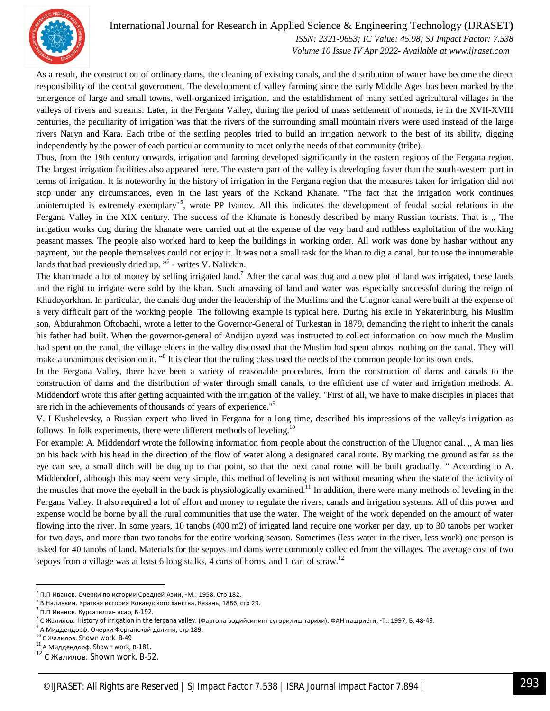

## International Journal for Research in Applied Science & Engineering Technology (IJRASET**)**

 *ISSN: 2321-9653; IC Value: 45.98; SJ Impact Factor: 7.538 Volume 10 Issue IV Apr 2022- Available at www.ijraset.com*

As a result, the construction of ordinary dams, the cleaning of existing canals, and the distribution of water have become the direct responsibility of the central government. The development of valley farming since the early Middle Ages has been marked by the emergence of large and small towns, well-organized irrigation, and the establishment of many settled agricultural villages in the valleys of rivers and streams. Later, in the Fergana Valley, during the period of mass settlement of nomads, ie in the XVII-XVIII centuries, the peculiarity of irrigation was that the rivers of the surrounding small mountain rivers were used instead of the large rivers Naryn and Kara. Each tribe of the settling peoples tried to build an irrigation network to the best of its ability, digging independently by the power of each particular community to meet only the needs of that community (tribe).

Thus, from the 19th century onwards, irrigation and farming developed significantly in the eastern regions of the Fergana region. The largest irrigation facilities also appeared here. The eastern part of the valley is developing faster than the south-western part in terms of irrigation. It is noteworthy in the history of irrigation in the Fergana region that the measures taken for irrigation did not stop under any circumstances, even in the last years of the Kokand Khanate. "The fact that the irrigation work continues uninterrupted is extremely exemplary"<sup>5</sup>, wrote PP Ivanov. All this indicates the development of feudal social relations in the Fergana Valley in the XIX century. The success of the Khanate is honestly described by many Russian tourists. That is ,, The irrigation works dug during the khanate were carried out at the expense of the very hard and ruthless exploitation of the working peasant masses. The people also worked hard to keep the buildings in working order. All work was done by hashar without any payment, but the people themselves could not enjoy it. It was not a small task for the khan to dig a canal, but to use the innumerable lands that had previously dried up. "<sup>6</sup> - writes V. Nalivkin.

The khan made a lot of money by selling irrigated land.<sup>7</sup> After the canal was dug and a new plot of land was irrigated, these lands and the right to irrigate were sold by the khan. Such amassing of land and water was especially successful during the reign of Khudoyorkhan. In particular, the canals dug under the leadership of the Muslims and the Ulugnor canal were built at the expense of a very difficult part of the working people. The following example is typical here. During his exile in Yekaterinburg, his Muslim son, Abdurahmon Oftobachi, wrote a letter to the Governor-General of Turkestan in 1879, demanding the right to inherit the canals his father had built. When the governor-general of Andijan uyezd was instructed to collect information on how much the Muslim had spent on the canal, the village elders in the valley discussed that the Muslim had spent almost nothing on the canal. They will make a unanimous decision on it. "<sup>8</sup> It is clear that the ruling class used the needs of the common people for its own ends.

In the Fergana Valley, there have been a variety of reasonable procedures, from the construction of dams and canals to the construction of dams and the distribution of water through small canals, to the efficient use of water and irrigation methods. A. Middendorf wrote this after getting acquainted with the irrigation of the valley. "First of all, we have to make disciples in places that are rich in the achievements of thousands of years of experience."<sup>9</sup>

V. I Kushelevsky, a Russian expert who lived in Fergana for a long time, described his impressions of the valley's irrigation as follows: In folk experiments, there were different methods of leveling.<sup>10</sup>

For example: A. Middendorf wrote the following information from people about the construction of the Ulugnor canal. ,, A man lies on his back with his head in the direction of the flow of water along a designated canal route. By marking the ground as far as the eye can see, a small ditch will be dug up to that point, so that the next canal route will be built gradually. " According to A. Middendorf, although this may seem very simple, this method of leveling is not without meaning when the state of the activity of the muscles that move the eyeball in the back is physiologically examined.<sup>11</sup> In addition, there were many methods of leveling in the Fergana Valley. It also required a lot of effort and money to regulate the rivers, canals and irrigation systems. All of this power and expense would be borne by all the rural communities that use the water. The weight of the work depended on the amount of water flowing into the river. In some years, 10 tanobs (400 m2) of irrigated land require one worker per day, up to 30 tanobs per worker for two days, and more than two tanobs for the entire working season. Sometimes (less water in the river, less work) one person is asked for 40 tanobs of land. Materials for the sepoys and dams were commonly collected from the villages. The average cost of two sepoys from a village was at least 6 long stalks, 4 carts of horns, and 1 cart of straw.<sup>12</sup>

1

 $^5$  П.П Иванов. Очерки по истории Средней Азии, -М.: 1958. Стр 182.

 $^{\rm 6}$  В.Наливкин. Краткая история Кокандского ханства. Казань, 1886, стр 29.

 $^7$  П.П Иванов. Курсатилган асар, Б-192.

<sup>&</sup>lt;sup>8</sup> С Жалилов. History of irrigation in the fergana valley. (Фаргона водийсининг сугорилиш тарихи). ФАН нашриёти, -T.: 1997, Б, 48-49.<br><sup>9</sup> А Миллендард - Quaquu Фергонанай долшин стр 180.

А Миддендорф. Очерки Ферганской долини, стр 189.

<sup>10</sup> С Жалилов. Shown work. B-49

<sup>&</sup>lt;sup>11</sup> А Миддендорф. Shown work, В-181.

<sup>12</sup> С Жалилов. Shown work. B-52.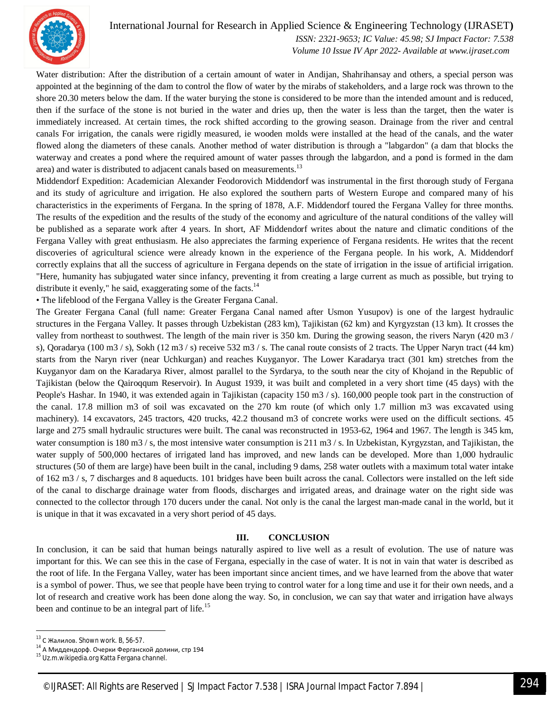

# International Journal for Research in Applied Science & Engineering Technology (IJRASET**)**

 *ISSN: 2321-9653; IC Value: 45.98; SJ Impact Factor: 7.538 Volume 10 Issue IV Apr 2022- Available at www.ijraset.com*

Water distribution: After the distribution of a certain amount of water in Andijan, Shahrihansay and others, a special person was appointed at the beginning of the dam to control the flow of water by the mirabs of stakeholders, and a large rock was thrown to the shore 20.30 meters below the dam. If the water burying the stone is considered to be more than the intended amount and is reduced, then if the surface of the stone is not buried in the water and dries up, then the water is less than the target, then the water is immediately increased. At certain times, the rock shifted according to the growing season. Drainage from the river and central canals For irrigation, the canals were rigidly measured, ie wooden molds were installed at the head of the canals, and the water flowed along the diameters of these canals. Another method of water distribution is through a "labgardon" (a dam that blocks the waterway and creates a pond where the required amount of water passes through the labgardon, and a pond is formed in the dam area) and water is distributed to adjacent canals based on measurements.<sup>13</sup>

Middendorf Expedition: Academician Alexander Feodorovich Middendorf was instrumental in the first thorough study of Fergana and its study of agriculture and irrigation. He also explored the southern parts of Western Europe and compared many of his characteristics in the experiments of Fergana. In the spring of 1878, A.F. Middendorf toured the Fergana Valley for three months. The results of the expedition and the results of the study of the economy and agriculture of the natural conditions of the valley will be published as a separate work after 4 years. In short, AF Middendorf writes about the nature and climatic conditions of the Fergana Valley with great enthusiasm. He also appreciates the farming experience of Fergana residents. He writes that the recent discoveries of agricultural science were already known in the experience of the Fergana people. In his work, A. Middendorf correctly explains that all the success of agriculture in Fergana depends on the state of irrigation in the issue of artificial irrigation. "Here, humanity has subjugated water since infancy, preventing it from creating a large current as much as possible, but trying to distribute it evenly," he said, exaggerating some of the facts.<sup>14</sup>

• The lifeblood of the Fergana Valley is the Greater Fergana Canal.

The Greater Fergana Canal (full name: Greater Fergana Canal named after Usmon Yusupov) is one of the largest hydraulic structures in the Fergana Valley. It passes through Uzbekistan (283 km), Tajikistan (62 km) and Kyrgyzstan (13 km). It crosses the valley from northeast to southwest. The length of the main river is 350 km. During the growing season, the rivers Naryn (420 m3 / s), Qoradarya (100 m3 / s), Sokh (12 m3 / s) receive 532 m3 / s. The canal route consists of 2 tracts. The Upper Naryn tract (44 km) starts from the Naryn river (near Uchkurgan) and reaches Kuyganyor. The Lower Karadarya tract (301 km) stretches from the Kuyganyor dam on the Karadarya River, almost parallel to the Syrdarya, to the south near the city of Khojand in the Republic of Tajikistan (below the Qairoqqum Reservoir). In August 1939, it was built and completed in a very short time (45 days) with the People's Hashar. In 1940, it was extended again in Tajikistan (capacity 150 m3 / s). 160,000 people took part in the construction of the canal. 17.8 million m3 of soil was excavated on the 270 km route (of which only 1.7 million m3 was excavated using machinery). 14 excavators, 245 tractors, 420 trucks, 42.2 thousand m3 of concrete works were used on the difficult sections. 45 large and 275 small hydraulic structures were built. The canal was reconstructed in 1953-62, 1964 and 1967. The length is 345 km, water consumption is 180 m3/s, the most intensive water consumption is 211 m3/s. In Uzbekistan, Kyrgyzstan, and Tajikistan, the water supply of 500,000 hectares of irrigated land has improved, and new lands can be developed. More than 1,000 hydraulic structures (50 of them are large) have been built in the canal, including 9 dams, 258 water outlets with a maximum total water intake of 162 m3 / s, 7 discharges and 8 aqueducts. 101 bridges have been built across the canal. Collectors were installed on the left side of the canal to discharge drainage water from floods, discharges and irrigated areas, and drainage water on the right side was connected to the collector through 170 ducers under the canal. Not only is the canal the largest man-made canal in the world, but it is unique in that it was excavated in a very short period of 45 days.

#### **III. CONCLUSION**

In conclusion, it can be said that human beings naturally aspired to live well as a result of evolution. The use of nature was important for this. We can see this in the case of Fergana, especially in the case of water. It is not in vain that water is described as the root of life. In the Fergana Valley, water has been important since ancient times, and we have learned from the above that water is a symbol of power. Thus, we see that people have been trying to control water for a long time and use it for their own needs, and a lot of research and creative work has been done along the way. So, in conclusion, we can say that water and irrigation have always been and continue to be an integral part of life.<sup>15</sup>

1

 $13$  С Жалилов. Shown work. В, 56-57.

 $14$  А Миддендорф. Очерки Ферганской долини, стр 194

<sup>&</sup>lt;sup>15</sup> Uz.m.wikipedia.org Katta Fergana channel.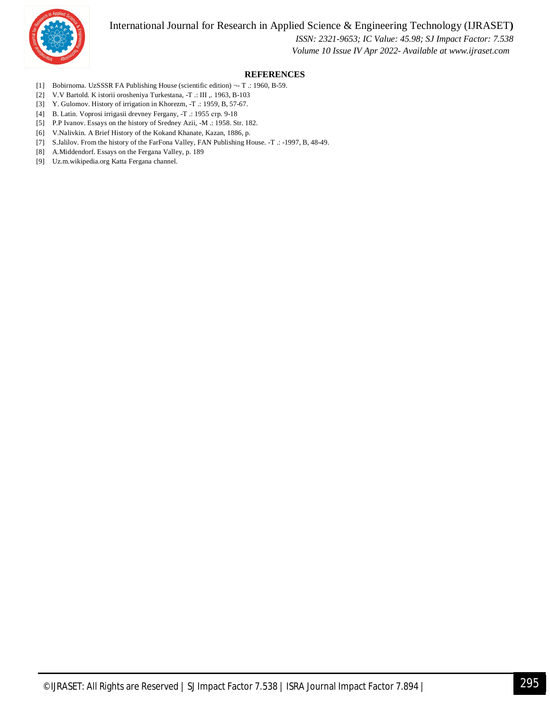International Journal for Research in Applied Science & Engineering Technology (IJRASET**)**



 *ISSN: 2321-9653; IC Value: 45.98; SJ Impact Factor: 7.538 Volume 10 Issue IV Apr 2022- Available at www.ijraset.com*

### **REFERENCES**

- [1] Bobirnoma. UzSSSR FA Publishing House (scientific edition) ¬- T .: 1960, B-59.
- [2] V.V Bartold. K istorii orosheniya Turkestana, -T .: III ,. 1963, B-103
- [3] Y. Gulomov. History of irrigation in Khorezm, -T .: 1959, B, 57-67.
- [4] B. Latin. Voprosi irrigasii drevney Fergany, -T .: 1955 стр. 9-18
- [5] P.P Ivanov. Essays on the history of Sredney Azii, -M .: 1958. Str. 182.
- [6] V.Nalivkin. A Brief History of the Kokand Khanate, Kazan, 1886, p.
- [7] S.Jalilov. From the history of the FarFona Valley, FAN Publishing House. -T .: -1997, B, 48-49.
- [8] A.Middendorf. Essays on the Fergana Valley, p. 189
- [9] Uz.m.wikipedia.org Katta Fergana channel.